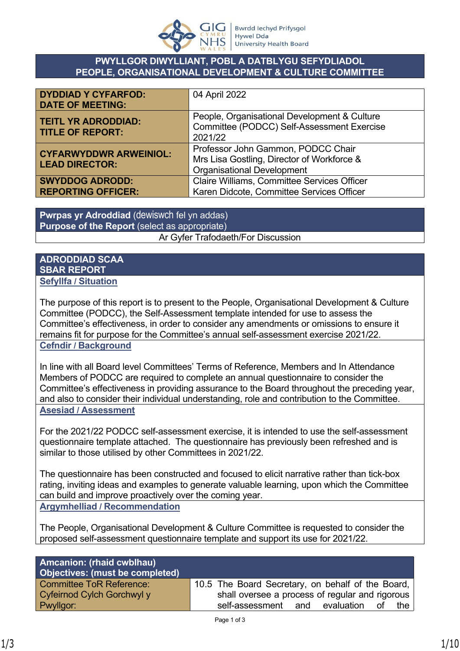

### **PWYLLGOR DIWYLLIANT, POBL A DATBLYGU SEFYDLIADOL PEOPLE, ORGANISATIONAL DEVELOPMENT & CULTURE COMMITTEE**

| <b>DYDDIAD Y CYFARFOD:</b><br><b>DATE OF MEETING:</b>  | 04 April 2022                                                                                                         |
|--------------------------------------------------------|-----------------------------------------------------------------------------------------------------------------------|
| <b>TEITL YR ADRODDIAD:</b><br><b>TITLE OF REPORT:</b>  | People, Organisational Development & Culture<br>Committee (PODCC) Self-Assessment Exercise<br>2021/22                 |
| <b>CYFARWYDDWR ARWEINIOL:</b><br><b>LEAD DIRECTOR:</b> | Professor John Gammon, PODCC Chair<br>Mrs Lisa Gostling, Director of Workforce &<br><b>Organisational Development</b> |
| <b>SWYDDOG ADRODD:</b><br><b>REPORTING OFFICER:</b>    | Claire Williams, Committee Services Officer<br>Karen Didcote, Committee Services Officer                              |

**Pwrpas yr Adroddiad** (dewiswch fel yn addas) **Purpose of the Report** (select as appropriate) Ar Gyfer Trafodaeth/For Discussion

## **ADRODDIAD SCAA SBAR REPORT Sefyllfa / Situation**

The purpose of this report is to present to the People, Organisational Development & Culture Committee (PODCC), the Self-Assessment template intended for use to assess the Committee's effectiveness, in order to consider any amendments or omissions to ensure it remains fit for purpose for the Committee's annual self-assessment exercise 2021/22. **Cefndir / Background**

In line with all Board level Committees' Terms of Reference, Members and In Attendance Members of PODCC are required to complete an annual questionnaire to consider the Committee's effectiveness in providing assurance to the Board throughout the preceding year, and also to consider their individual understanding, role and contribution to the Committee. **Asesiad / Assessment**

For the 2021/22 PODCC self-assessment exercise, it is intended to use the self-assessment questionnaire template attached. The questionnaire has previously been refreshed and is similar to those utilised by other Committees in 2021/22.

The questionnaire has been constructed and focused to elicit narrative rather than tick-box rating, inviting ideas and examples to generate valuable learning, upon which the Committee can build and improve proactively over the coming year. **Argymhelliad / Recommendation**

The People, Organisational Development & Culture Committee is requested to consider the proposed self-assessment questionnaire template and support its use for 2021/22.

| <b>Amcanion: (rhaid cwblhau)</b><br>Objectives: (must be completed) |                                                   |
|---------------------------------------------------------------------|---------------------------------------------------|
| <b>Committee ToR Reference:</b>                                     | 10.5 The Board Secretary, on behalf of the Board, |
| Cyfeirnod Cylch Gorchwyl y                                          | shall oversee a process of regular and rigorous   |
| Pwyllgor:                                                           | self-assessment and evaluation<br>° of<br>the     |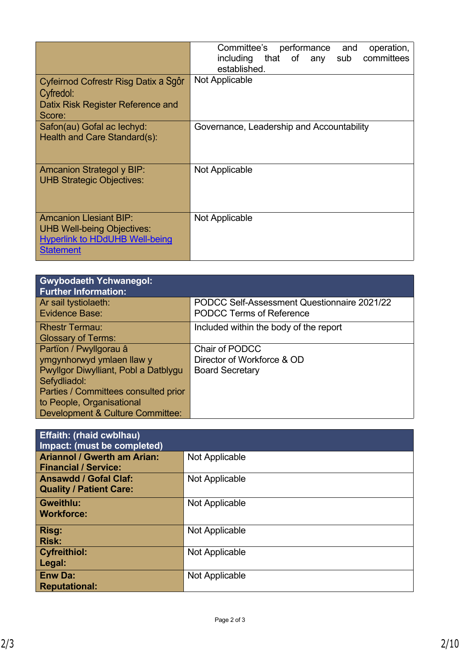|                                                                                                                   | Committee's performance<br>operation,<br>and<br>sub committees<br>including that of any<br>established. |
|-------------------------------------------------------------------------------------------------------------------|---------------------------------------------------------------------------------------------------------|
| Cyfeirnod Cofrestr Risg Datix a Sgôr<br>Cyfredol:<br>Datix Risk Register Reference and<br>Score:                  | Not Applicable                                                                                          |
| Safon(au) Gofal ac lechyd:<br>Health and Care Standard(s):                                                        | Governance, Leadership and Accountability                                                               |
| <b>Amcanion Strategol y BIP:</b><br><b>UHB Strategic Objectives:</b>                                              | Not Applicable                                                                                          |
| <b>Amcanion Llesiant BIP:</b><br>UHB Well-being Objectives:<br><b>Hyperlink to HDdUHB Well-being</b><br>Statement | Not Applicable                                                                                          |

| <b>Gwybodaeth Ychwanegol:</b><br><b>Further Information:</b> |                                             |
|--------------------------------------------------------------|---------------------------------------------|
| Ar sail tystiolaeth:                                         | PODCC Self-Assessment Questionnaire 2021/22 |
| Evidence Base:                                               | <b>PODCC Terms of Reference</b>             |
| <b>Rhestr Termau:</b>                                        | Included within the body of the report      |
| <b>Glossary of Terms:</b>                                    |                                             |
| Partïon / Pwyllgorau â                                       | Chair of PODCC                              |
| ymgynhorwyd ymlaen llaw y                                    | Director of Workforce & OD                  |
| Pwyllgor Diwylliant, Pobl a Datblygu                         | <b>Board Secretary</b>                      |
| Sefydliadol:                                                 |                                             |
| Parties / Committees consulted prior                         |                                             |
| to People, Organisational                                    |                                             |
| <b>Development &amp; Culture Committee:</b>                  |                                             |

| <b>Effaith: (rhaid cwblhau)</b>    |                |
|------------------------------------|----------------|
| Impact: (must be completed)        |                |
| <b>Ariannol / Gwerth am Arian:</b> | Not Applicable |
| <b>Financial / Service:</b>        |                |
| <b>Ansawdd / Gofal Claf:</b>       | Not Applicable |
| <b>Quality / Patient Care:</b>     |                |
| <b>Gweithlu:</b>                   | Not Applicable |
| <b>Workforce:</b>                  |                |
| Risg:                              | Not Applicable |
| <b>Risk:</b>                       |                |
| <b>Cyfreithiol:</b>                | Not Applicable |
| Legal:                             |                |
| <b>Enw Da:</b>                     | Not Applicable |
| <b>Reputational:</b>               |                |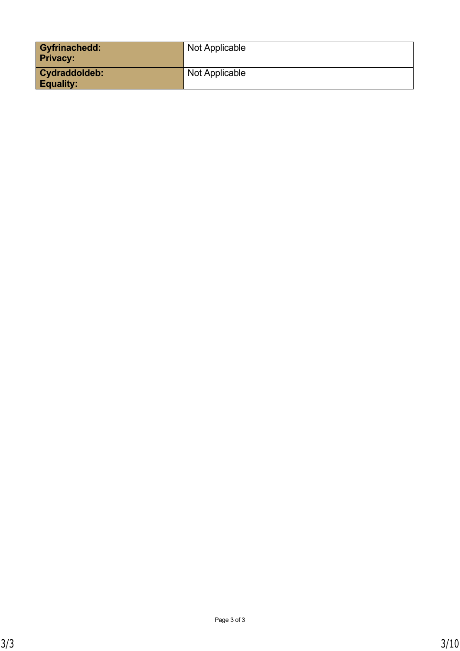| <b>Gyfrinachedd:</b><br><b>Privacy:</b> | Not Applicable |
|-----------------------------------------|----------------|
| Cydraddoldeb:<br><b>Equality:</b>       | Not Applicable |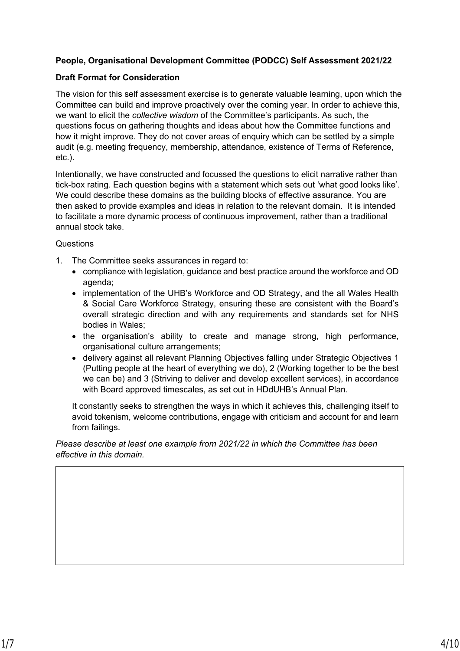#### **People, Organisational Development Committee (PODCC) Self Assessment 2021/22**

#### **Draft Format for Consideration**

The vision for this self assessment exercise is to generate valuable learning, upon which the Committee can build and improve proactively over the coming year. In order to achieve this, we want to elicit the *collective wisdom* of the Committee's participants. As such, the questions focus on gathering thoughts and ideas about how the Committee functions and how it might improve. They do not cover areas of enquiry which can be settled by a simple audit (e.g. meeting frequency, membership, attendance, existence of Terms of Reference, etc.).

Intentionally, we have constructed and focussed the questions to elicit narrative rather than tick-box rating. Each question begins with a statement which sets out 'what good looks like'. We could describe these domains as the building blocks of effective assurance. You are then asked to provide examples and ideas in relation to the relevant domain. It is intended to facilitate a more dynamic process of continuous improvement, rather than a traditional annual stock take.

#### **Questions**

- 1. The Committee seeks assurances in regard to:
	- compliance with legislation, guidance and best practice around the workforce and OD agenda;
	- implementation of the UHB's Workforce and OD Strategy, and the all Wales Health & Social Care Workforce Strategy, ensuring these are consistent with the Board's overall strategic direction and with any requirements and standards set for NHS bodies in Wales;
	- the organisation's ability to create and manage strong, high performance, organisational culture arrangements;
	- delivery against all relevant Planning Objectives falling under Strategic Objectives 1 (Putting people at the heart of everything we do), 2 (Working together to be the best we can be) and 3 (Striving to deliver and develop excellent services), in accordance with Board approved timescales, as set out in HDdUHB's Annual Plan.

It constantly seeks to strengthen the ways in which it achieves this, challenging itself to avoid tokenism, welcome contributions, engage with criticism and account for and learn from failings.

*Please describe at least one example from 2021/22 in which the Committee has been effective in this domain.*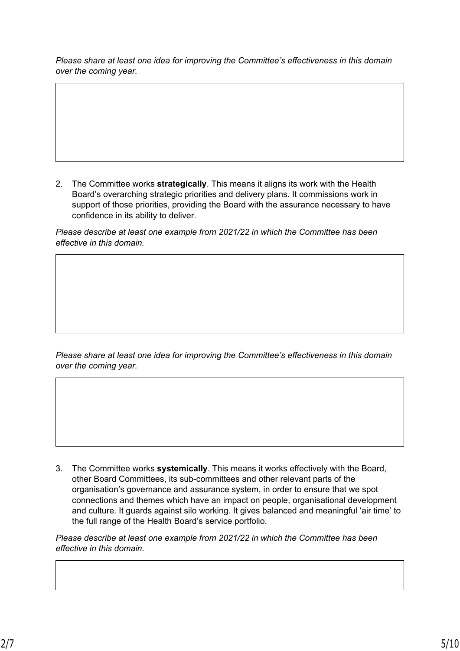*Please share at least one idea for improving the Committee's effectiveness in this domain over the coming year.*

2. The Committee works **strategically**. This means it aligns its work with the Health Board's overarching strategic priorities and delivery plans. It commissions work in support of those priorities, providing the Board with the assurance necessary to have confidence in its ability to deliver.

*Please describe at least one example from 2021/22 in which the Committee has been effective in this domain.*

*Please share at least one idea for improving the Committee's effectiveness in this domain over the coming year.*

3. The Committee works **systemically**. This means it works effectively with the Board, other Board Committees, its sub-committees and other relevant parts of the organisation's governance and assurance system, in order to ensure that we spot connections and themes which have an impact on people, organisational development and culture. It guards against silo working. It gives balanced and meaningful 'air time' to the full range of the Health Board's service portfolio.

*Please describe at least one example from 2021/22 in which the Committee has been effective in this domain.*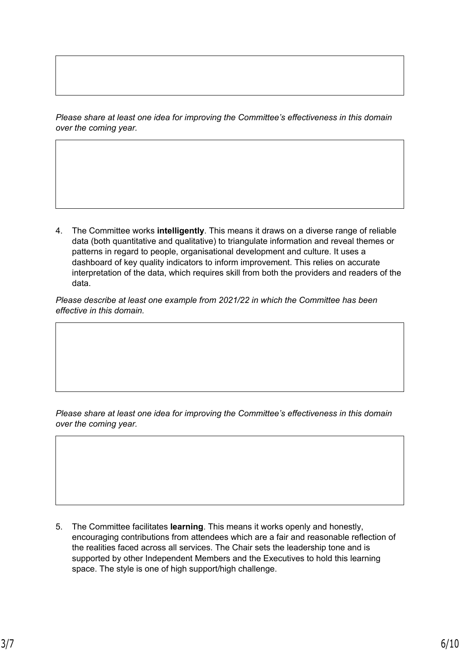*Please share at least one idea for improving the Committee's effectiveness in this domain over the coming year.*

4. The Committee works **intelligently**. This means it draws on a diverse range of reliable data (both quantitative and qualitative) to triangulate information and reveal themes or patterns in regard to people, organisational development and culture. It uses a dashboard of key quality indicators to inform improvement. This relies on accurate interpretation of the data, which requires skill from both the providers and readers of the data.

*Please describe at least one example from 2021/22 in which the Committee has been effective in this domain.*

*Please share at least one idea for improving the Committee's effectiveness in this domain over the coming year.*

5. The Committee facilitates **learning**. This means it works openly and honestly, encouraging contributions from attendees which are a fair and reasonable reflection of the realities faced across all services. The Chair sets the leadership tone and is supported by other Independent Members and the Executives to hold this learning space. The style is one of high support/high challenge.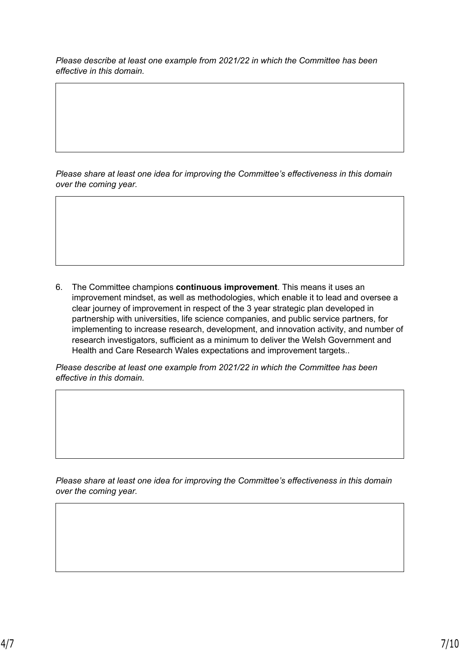*Please describe at least one example from 2021/22 in which the Committee has been effective in this domain.*

*Please share at least one idea for improving the Committee's effectiveness in this domain over the coming year.*

6. The Committee champions **continuous improvement**. This means it uses an improvement mindset, as well as methodologies, which enable it to lead and oversee a clear journey of improvement in respect of the 3 year strategic plan developed in partnership with universities, life science companies, and public service partners, for implementing to increase research, development, and innovation activity, and number of research investigators, sufficient as a minimum to deliver the Welsh Government and Health and Care Research Wales expectations and improvement targets..

*Please describe at least one example from 2021/22 in which the Committee has been effective in this domain.*

*Please share at least one idea for improving the Committee's effectiveness in this domain over the coming year.*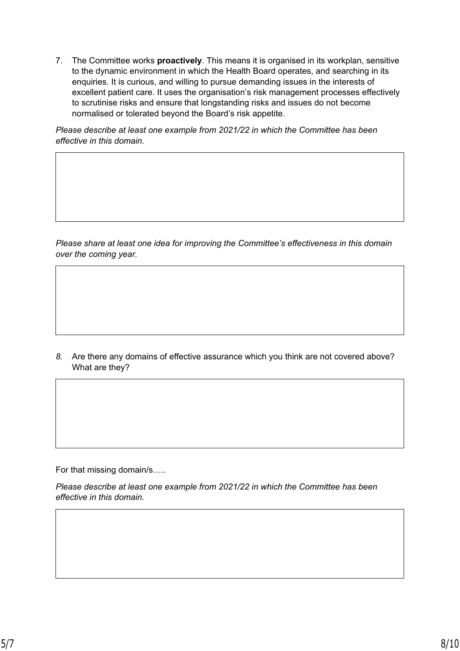7. The Committee works **proactively**. This means it is organised in its workplan, sensitive to the dynamic environment in which the Health Board operates, and searching in its enquiries. It is curious, and willing to pursue demanding issues in the interests of excellent patient care. It uses the organisation's risk management processes effectively to scrutinise risks and ensure that longstanding risks and issues do not become normalised or tolerated beyond the Board's risk appetite.

*Please describe at least one example from 2021/22 in which the Committee has been effective in this domain.*

*Please share at least one idea for improving the Committee's effectiveness in this domain over the coming year.*

*8.* Are there any domains of effective assurance which you think are not covered above? What are they?

For that missing domain/s…..

*Please describe at least one example from 2021/22 in which the Committee has been effective in this domain.*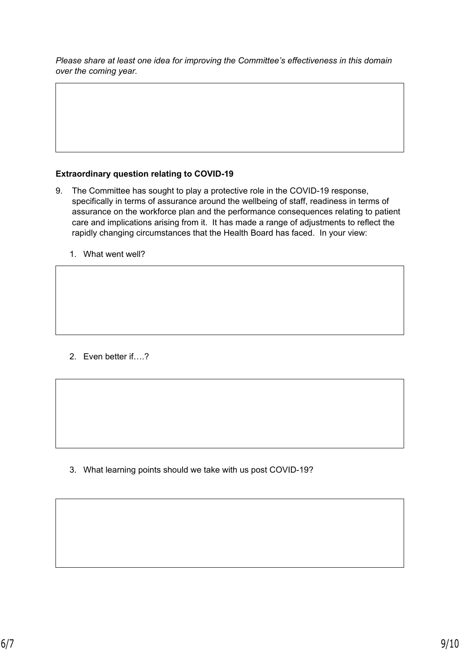*Please share at least one idea for improving the Committee's effectiveness in this domain over the coming year.*

# **Extraordinary question relating to COVID-19**

- 9. The Committee has sought to play a protective role in the COVID-19 response, specifically in terms of assurance around the wellbeing of staff, readiness in terms of assurance on the workforce plan and the performance consequences relating to patient care and implications arising from it. It has made a range of adjustments to reflect the rapidly changing circumstances that the Health Board has faced. In your view:
	- 1. What went well?

2. Even better if….?

3. What learning points should we take with us post COVID-19?